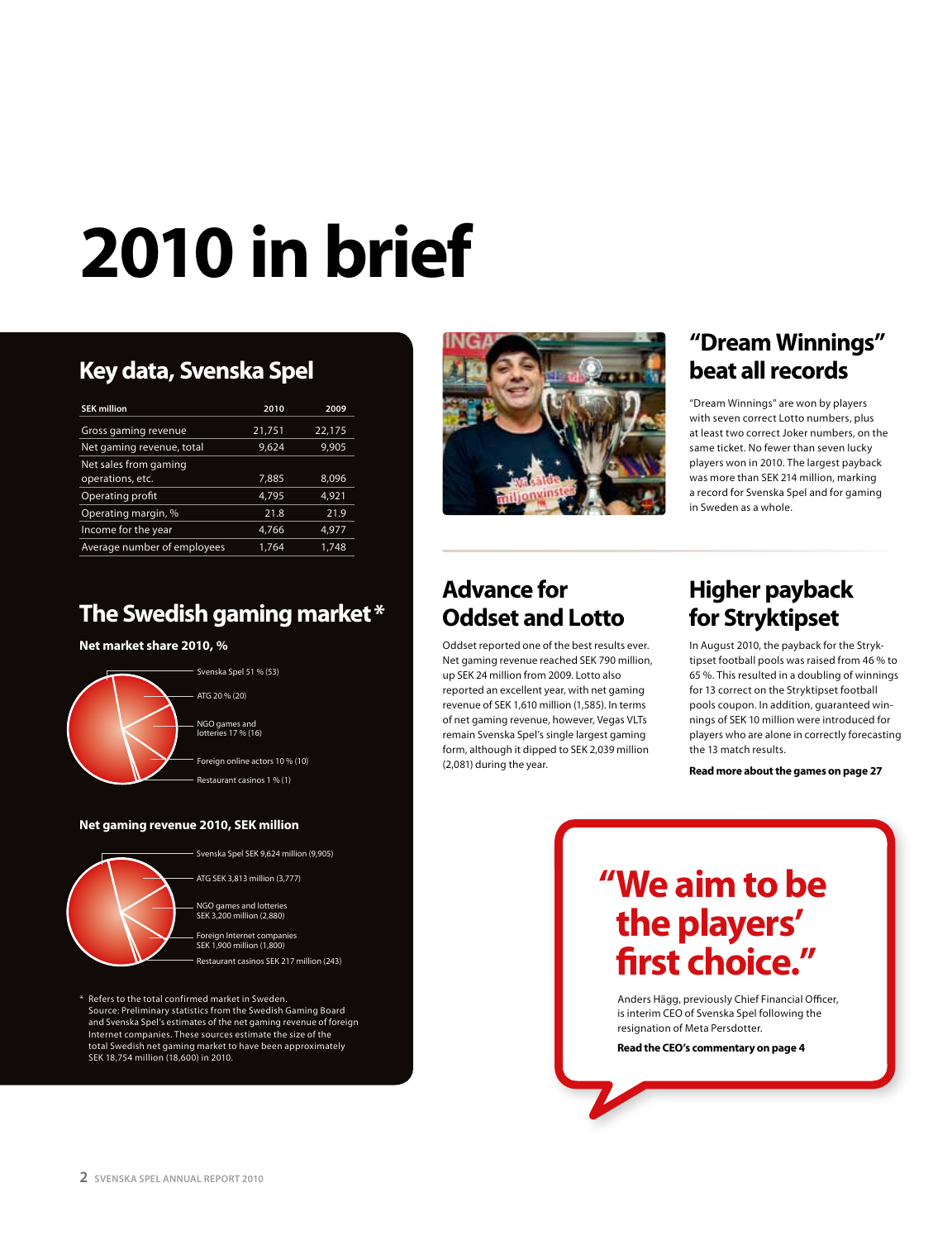# **2010 in brief**

# **Key data, Svenska Spel**

| <b>SEK million</b>          | 2010   | 2009   |
|-----------------------------|--------|--------|
| Gross gaming revenue        | 21,751 | 22,175 |
| Net gaming revenue, total   | 9,624  | 9,905  |
| Net sales from gaming       |        |        |
| operations, etc.            | 7,885  | 8,096  |
| Operating profit            | 4.795  | 4.921  |
| Operating margin, %         | 21.8   | 21.9   |
| Income for the year         | 4,766  | 4,977  |
| Average number of employees | 1.764  | 1.748  |

# **The Swedish gaming market \***

#### **Net market share 2010, %**



#### **Net gaming revenue 2010, SEK million**



Svenska Spel SEK 9,624 million (9,905) ATG SEK 3,813 million (3,777)

NGO games and lotteries SEK 3,200 million (2,880)

Foreign Internet companies SEK 1,900 million (1,800) Restaurant casinos SEK 217 million (243)

\* Refers to the total confirmed market in Sweden. Source: Preliminary statistics from the Swedish Gaming Board and Svenska Spel's estimates of the net gaming revenue of foreign Internet companies. These sources estimate the size of the total Swedish net gaming market to have been approximately SEK 18,754 million (18,600) in 2010.



### **"Dream Winnings" beat all records**

"Dream Winnings" are won by players with seven correct Lotto numbers, plus at least two correct Joker numbers, on the same ticket. No fewer than seven lucky players won in 2010. The largest payback was more than SEK 214 million, marking a record for Svenska Spel and for gaming in Sweden as a whole.

# **Advance for Oddset and Lotto**

Oddset reported one of the best results ever. Net gaming revenue reached SEK 790 million, up SEK 24 million from 2009. Lotto also reported an excellent year, with net gaming revenue of SEK 1,610 million (1,585). In terms of net gaming revenue, however, Vegas VLTs remain Svenska Spel's single largest gaming form, although it dipped to SEK 2,039 million (2,081) during the year.

#### **Higher payback for Stryktipset**

In August 2010, the payback for the Stryktipset football pools was raised from 46 % to 65 %. This resulted in a doubling of winnings for 13 correct on the Stryktipset football pools coupon. In addition, guaranteed winnings of SEK 10 million were introduced for players who are alone in correctly forecasting the 13 match results.

**Read more about the games on page 27**

# **"We aim to be the players' first choice."**

Anders Hägg, previously Chief Financial Officer, is interim CEO of Svenska Spel following the resignation of Meta Persdotter.

**Read the CEO's commentary on page 4**